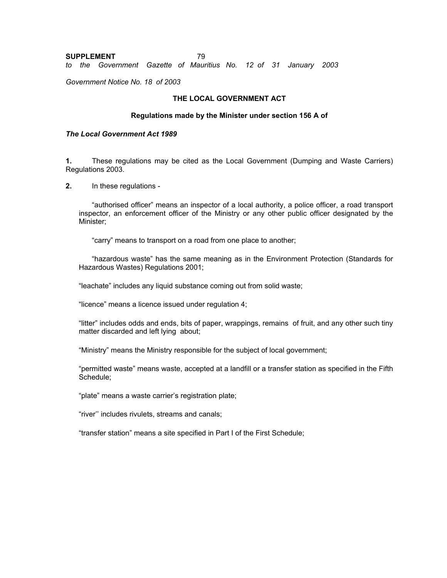#### **SUPPLEMENT** 79 *to the Government Gazette of Mauritius No. 12 of 31 January 2003*

*Government Notice No. 18 of 2003* 

### **THE LOCAL GOVERNMENT ACT**

#### **Regulations made by the Minister under section 156 A of**

### *The Local Government Act 1989*

**1.** These regulations may be cited as the Local Government (Dumping and Waste Carriers) Regulations 2003.

**2.** In these regulations -

 "authorised officer" means an inspector of a local authority, a police officer, a road transport inspector, an enforcement officer of the Ministry or any other public officer designated by the Minister;

"carry" means to transport on a road from one place to another;

 "hazardous waste" has the same meaning as in the Environment Protection (Standards for Hazardous Wastes) Regulations 2001;

"leachate" includes any liquid substance coming out from solid waste;

"licence" means a licence issued under regulation 4;

"litter" includes odds and ends, bits of paper, wrappings, remains of fruit, and any other such tiny matter discarded and left lying about;

"Ministry" means the Ministry responsible for the subject of local government;

"permitted waste" means waste, accepted at a landfill or a transfer station as specified in the Fifth Schedule;

"plate" means a waste carrier's registration plate;

"river'' includes rivulets, streams and canals;

"transfer station" means a site specified in Part I of the First Schedule;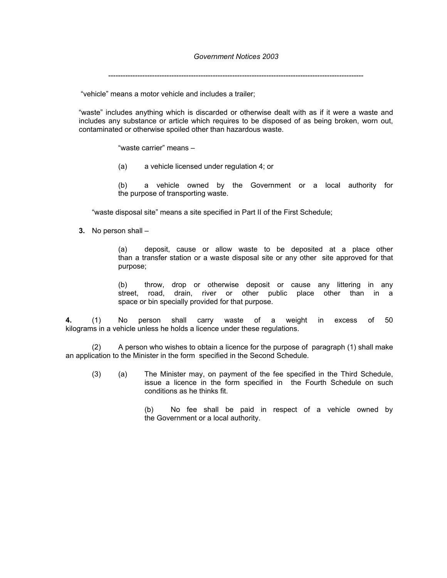---------------------------------------------------------------------------------------------------------

"vehicle" means a motor vehicle and includes a trailer;

"waste" includes anything which is discarded or otherwise dealt with as if it were a waste and includes any substance or article which requires to be disposed of as being broken, worn out, contaminated or otherwise spoiled other than hazardous waste.

"waste carrier" means –

(a) a vehicle licensed under regulation 4; or

(b) a vehicle owned by the Government or a local authority for the purpose of transporting waste.

"waste disposal site" means a site specified in Part II of the First Schedule;

**3.** No person shall –

(a) deposit, cause or allow waste to be deposited at a place other than a transfer station or a waste disposal site or any other site approved for that purpose;

(b) throw, drop or otherwise deposit or cause any littering in any street, road, drain, river or other public place other than in a space or bin specially provided for that purpose.

**4.** (1) No person shall carry waste of a weight in excess of 50 kilograms in a vehicle unless he holds a licence under these regulations.

(2) A person who wishes to obtain a licence for the purpose of paragraph (1) shall make an application to the Minister in the form specified in the Second Schedule.

(3) (a) The Minister may, on payment of the fee specified in the Third Schedule, issue a licence in the form specified in the Fourth Schedule on such conditions as he thinks fit.

> (b) No fee shall be paid in respect of a vehicle owned by the Government or a local authority.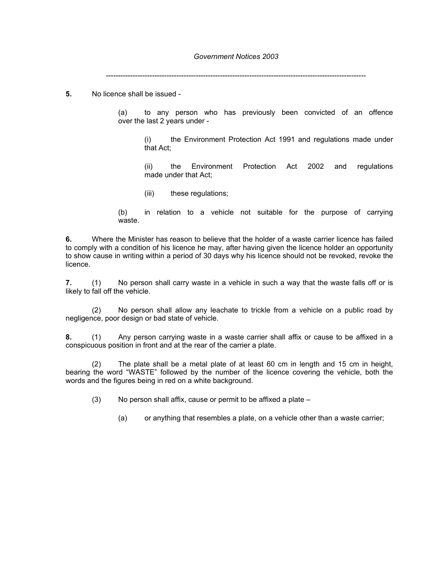-----------------------------------------------------------------------------------------------------------

**5.** No licence shall be issued -

(a) to any person who has previously been convicted of an offence over the last 2 years under -

(i) the Environment Protection Act 1991 and regulations made under that Act;

(ii) the Environment Protection Act 2002 and regulations made under that Act;

(iii) these regulations;

(b) in relation to a vehicle not suitable for the purpose of carrying waste.

**6.** Where the Minister has reason to believe that the holder of a waste carrier licence has failed to comply with a condition of his licence he may, after having given the licence holder an opportunity to show cause in writing within a period of 30 days why his licence should not be revoked, revoke the licence.

**7.** (1) No person shall carry waste in a vehicle in such a way that the waste falls off or is likely to fall off the vehicle.

(2) No person shall allow any leachate to trickle from a vehicle on a public road by negligence, poor design or bad state of vehicle.

**8.** (1) Any person carrying waste in a waste carrier shall affix or cause to be affixed in a conspicuous position in front and at the rear of the carrier a plate.

(2) The plate shall be a metal plate of at least 60 cm in length and 15 cm in height, bearing the word "WASTE" followed by the number of the licence covering the vehicle, both the words and the figures being in red on a white background.

(3) No person shall affix, cause or permit to be affixed a plate –

(a) or anything that resembles a plate, on a vehicle other than a waste carrier;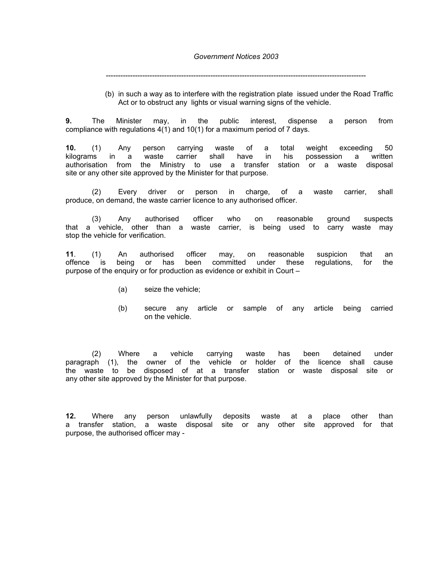-----------------------------------------------------------------------------------------------------------

(b) in such a way as to interfere with the registration plate issued under the Road Traffic Act or to obstruct any lights or visual warning signs of the vehicle.

**9.** The Minister may, in the public interest, dispense a person from compliance with regulations 4(1) and 10(1) for a maximum period of 7 days.

**10.** (1) Any person carrying waste of a total weight exceeding 50 kilograms in a waste carrier shall have in his possession a written authorisation from the Ministry to use a transfer station or a waste disposal site or any other site approved by the Minister for that purpose.

(2) Every driver or person in charge, of a waste carrier, shall produce, on demand, the waste carrier licence to any authorised officer.

 (3) Any authorised officer who on reasonable ground suspects that a vehicle, other than a waste carrier, is being used to carry waste may stop the vehicle for verification.

**11**. (1) An authorised officer may, on reasonable suspicion that an offence is being or has been committed under these regulations, for the purpose of the enquiry or for production as evidence or exhibit in Court –

- (a) seize the vehicle;
- (b) secure any article or sample of any article being carried on the vehicle.

(2) Where a vehicle carrying waste has been detained under paragraph (1), the owner of the vehicle or holder of the licence shall cause the waste to be disposed of at a transfer station or waste disposal site or any other site approved by the Minister for that purpose.

**12.** Where any person unlawfully deposits waste at a place other than a transfer station, a waste disposal site or any other site approved for that purpose, the authorised officer may -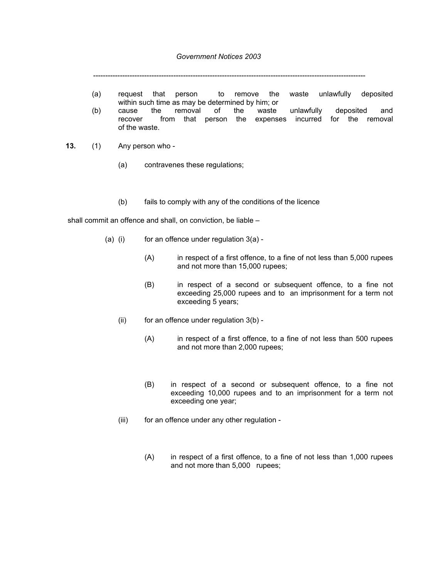----------------------------------------------------------------------------------------------------------------

- (a) request that person to remove the waste unlawfully deposited within such time as may be determined by him; or<br>cause the removal of the waste
- (b) cause the removal of the waste unlawfully deposited and recover from that person the expenses incurred for the removal of the waste.
- **13.** (1) Any person who
	- (a) contravenes these regulations;
	- (b) fails to comply with any of the conditions of the licence

shall commit an offence and shall, on conviction, be liable –

- (a) (i) for an offence under regulation  $3(a)$  -
	- (A) in respect of a first offence, to a fine of not less than 5,000 rupees and not more than 15,000 rupees;
	- (B) in respect of a second or subsequent offence, to a fine not exceeding 25,000 rupees and to an imprisonment for a term not exceeding 5 years;
	- (ii) for an offence under regulation  $3(b)$  -
		- (A) in respect of a first offence, to a fine of not less than 500 rupees and not more than 2,000 rupees;
		- (B) in respect of a second or subsequent offence, to a fine not exceeding 10,000 rupees and to an imprisonment for a term not exceeding one year;
	- (iii) for an offence under any other regulation -
		- (A) in respect of a first offence, to a fine of not less than 1,000 rupees and not more than 5,000 rupees;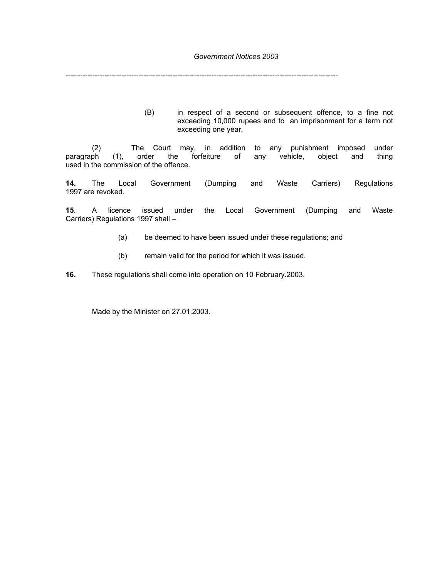----------------------------------------------------------------------------------------------------------------

(B) in respect of a second or subsequent offence, to a fine not exceeding 10,000 rupees and to an imprisonment for a term not exceeding one year.

(2) The Court may, in addition to any punishment imposed under<br>ph (1), order the forfeiture of any vehicle, object and thing paragraph (1), order the forfeiture of any vehicle, object and thing used in the commission of the offence.

**14.** The Local Government (Dumping and Waste Carriers) Regulations 1997 are revoked.

**15**. A licence issued under the Local Government (Dumping and Waste Carriers) Regulations 1997 shall –

- (a) be deemed to have been issued under these regulations; and
- (b) remain valid for the period for which it was issued.

**16.** These regulations shall come into operation on 10 February.2003.

Made by the Minister on 27.01.2003.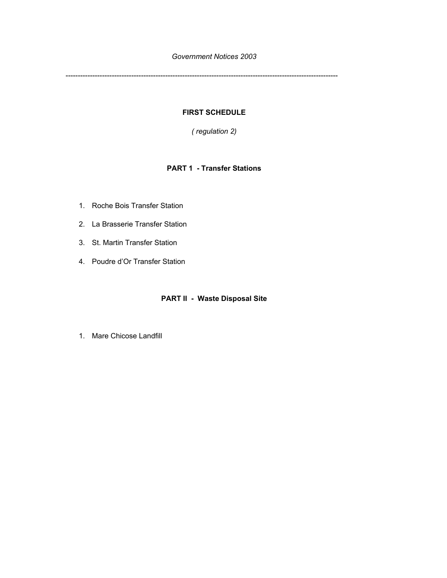----------------------------------------------------------------------------------------------------------------

## **FIRST SCHEDULE**

*( regulation 2)* 

# **PART 1 - Transfer Stations**

- 1. Roche Bois Transfer Station
- 2. La Brasserie Transfer Station
- 3. St. Martin Transfer Station
- 4. Poudre d'Or Transfer Station

# **PART II - Waste Disposal Site**

1. Mare Chicose Landfill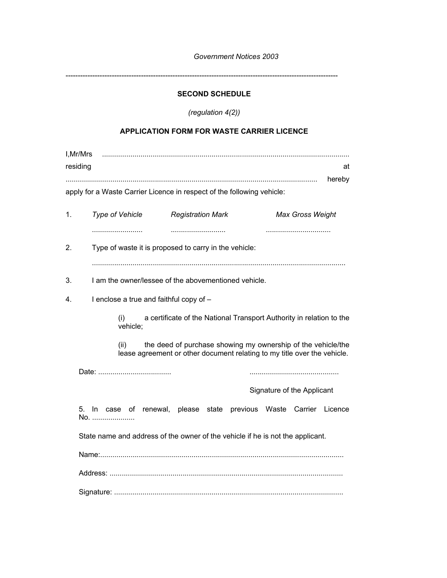----------------------------------------------------------------------------------------------------------------

# **SECOND SCHEDULE**

*(regulation 4(2))* 

# **APPLICATION FORM FOR WASTE CARRIER LICENCE**

|    | I, Mr/Mrs<br>residing<br>at<br>hereby                                                                                                            |  |  |
|----|--------------------------------------------------------------------------------------------------------------------------------------------------|--|--|
|    | apply for a Waste Carrier Licence in respect of the following vehicle:                                                                           |  |  |
| 1. | Type of Vehicle<br><b>Registration Mark</b><br><b>Max Gross Weight</b>                                                                           |  |  |
| 2. | <br>Type of waste it is proposed to carry in the vehicle:                                                                                        |  |  |
| 3. | I am the owner/lessee of the abovementioned vehicle.                                                                                             |  |  |
| 4. | I enclose a true and faithful copy of -                                                                                                          |  |  |
|    | a certificate of the National Transport Authority in relation to the<br>(i)<br>vehicle;                                                          |  |  |
|    | the deed of purchase showing my ownership of the vehicle/the<br>(ii)<br>lease agreement or other document relating to my title over the vehicle. |  |  |
|    |                                                                                                                                                  |  |  |
|    | Signature of the Applicant                                                                                                                       |  |  |
|    | 5. In case of renewal, please state previous Waste Carrier Licence<br>No.                                                                        |  |  |
|    | State name and address of the owner of the vehicle if he is not the applicant.                                                                   |  |  |
|    |                                                                                                                                                  |  |  |
|    |                                                                                                                                                  |  |  |
|    |                                                                                                                                                  |  |  |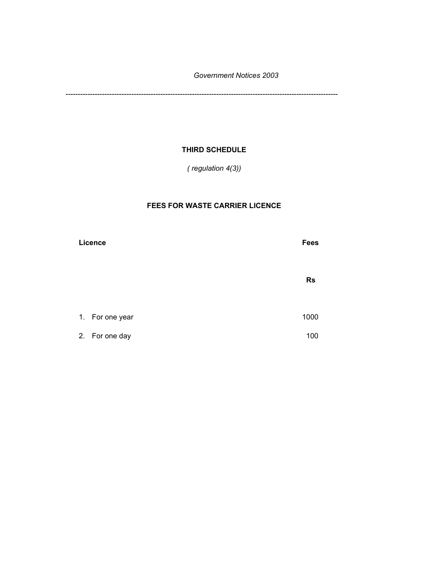----------------------------------------------------------------------------------------------------------------

# **THIRD SCHEDULE**

*( regulation 4(3))* 

# **FEES FOR WASTE CARRIER LICENCE**

| Licence |                | <b>Fees</b> |
|---------|----------------|-------------|
|         |                | <b>Rs</b>   |
| 1.      | For one year   | 1000        |
|         | 2. For one day | 100         |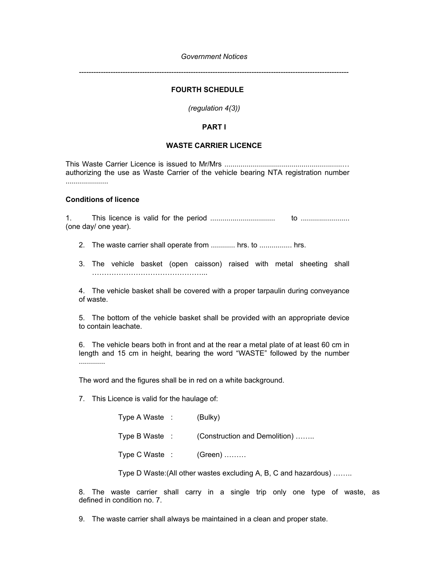*---------------------------------------------------------------------------------------------------------------* 

# **FOURTH SCHEDULE**

*(regulation 4(3))* 

## **PART I**

### **WASTE CARRIER LICENCE**

This Waste Carrier Licence is issued to Mr/Mrs ..........................................................… authorizing the use as Waste Carrier of the vehicle bearing NTA registration number .....................

### **Conditions of licence**

1. This licence is valid for the period ................................ to ........................ (one day/ one year).

- 2. The waste carrier shall operate from ............ hrs. to ................ hrs.
- 3. The vehicle basket (open caisson) raised with metal sheeting shall ………………………………………...

4. The vehicle basket shall be covered with a proper tarpaulin during conveyance of waste.

5. The bottom of the vehicle basket shall be provided with an appropriate device to contain leachate.

6. The vehicle bears both in front and at the rear a metal plate of at least 60 cm in length and 15 cm in height, bearing the word "WASTE" followed by the number .............

The word and the figures shall be in red on a white background.

7. This Licence is valid for the haulage of:

| Type A Waste : | (Bulky)                       |
|----------------|-------------------------------|
| Type B Waste : | (Construction and Demolition) |
| Type C Waste : | $(Green)$                     |

Type D Waste:(All other wastes excluding A, B, C and hazardous) ……..

8. The waste carrier shall carry in a single trip only one type of waste, as defined in condition no. 7.

9. The waste carrier shall always be maintained in a clean and proper state.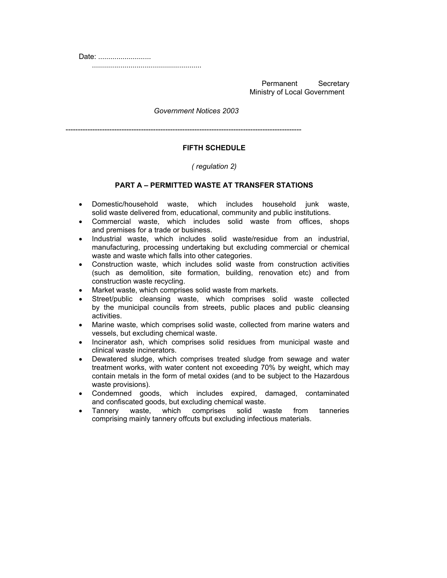Date: ..........................

......................................................

Permanent Secretary Ministry of Local Government

*Government Notices 2003* 

-------------------------------------------------------------------------------------------------

## **FIFTH SCHEDULE**

### *( regulation 2)*

### **PART A – PERMITTED WASTE AT TRANSFER STATIONS**

- Domestic/household waste, which includes household junk waste, solid waste delivered from, educational, community and public institutions.
- Commercial waste, which includes solid waste from offices, shops and premises for a trade or business.
- Industrial waste, which includes solid waste/residue from an industrial, manufacturing, processing undertaking but excluding commercial or chemical waste and waste which falls into other categories.
- Construction waste, which includes solid waste from construction activities (such as demolition, site formation, building, renovation etc) and from construction waste recycling.
- Market waste, which comprises solid waste from markets.
- Street/public cleansing waste, which comprises solid waste collected by the municipal councils from streets, public places and public cleansing activities.
- Marine waste, which comprises solid waste, collected from marine waters and vessels, but excluding chemical waste.
- Incinerator ash, which comprises solid residues from municipal waste and clinical waste incinerators.
- Dewatered sludge, which comprises treated sludge from sewage and water treatment works, with water content not exceeding 70% by weight, which may contain metals in the form of metal oxides (and to be subject to the Hazardous waste provisions).
- Condemned goods, which includes expired, damaged, contaminated and confiscated goods, but excluding chemical waste.
- Tannery waste, which comprises solid waste from tanneries comprising mainly tannery offcuts but excluding infectious materials.